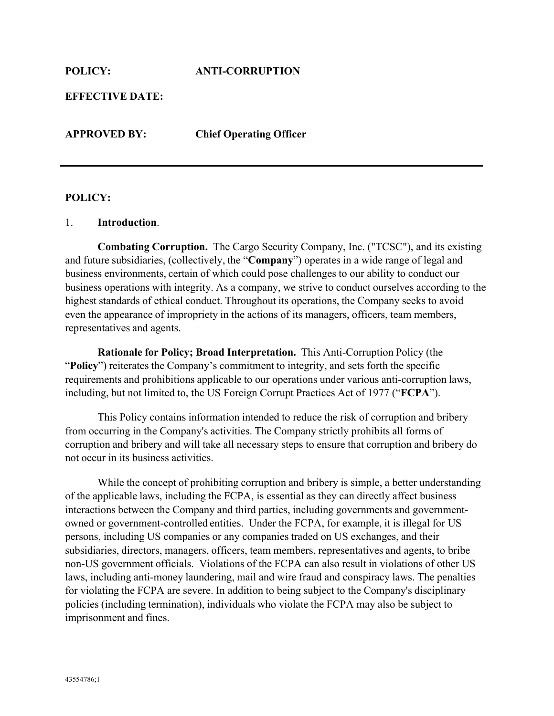**EFFECTIVE DATE:**

**APPROVED BY: Chief Operating Officer**

#### **POLICY:**

#### 1. **Introduction**.

**Combating Corruption.** The Cargo Security Company, Inc. ("TCSC"), and its existing and future subsidiaries, (collectively, the "**Company**") operates in a wide range of legal and business environments, certain of which could pose challenges to our ability to conduct our business operations with integrity. As a company, we strive to conduct ourselves according to the highest standards of ethical conduct. Throughout its operations, the Company seeks to avoid even the appearance of impropriety in the actions of its managers, officers, team members, representatives and agents.

**Rationale for Policy; Broad Interpretation.** This Anti-Corruption Policy (the "**Policy**") reiterates the Company's commitment to integrity, and sets forth the specific requirements and prohibitions applicable to our operations under various anti-corruption laws, including, but not limited to, the US Foreign Corrupt Practices Act of 1977 ("**FCPA**").

This Policy contains information intended to reduce the risk of corruption and bribery from occurring in the Company's activities. The Company strictly prohibits all forms of corruption and bribery and will take all necessary steps to ensure that corruption and bribery do not occur in its business activities.

While the concept of prohibiting corruption and bribery is simple, a better understanding of the applicable laws, including the FCPA, is essential as they can directly affect business interactions between the Company and third parties, including governments and governmentowned or government-controlled entities. Under the FCPA, for example, it is illegal for US persons, including US companies or any companies traded on US exchanges, and their subsidiaries, directors, managers, officers, team members, representatives and agents, to bribe non-US government officials. Violations of the FCPA can also result in violations of other US laws, including anti-money laundering, mail and wire fraud and conspiracy laws. The penalties for violating the FCPA are severe. In addition to being subject to the Company's disciplinary policies (including termination), individuals who violate the FCPA may also be subject to imprisonment and fines.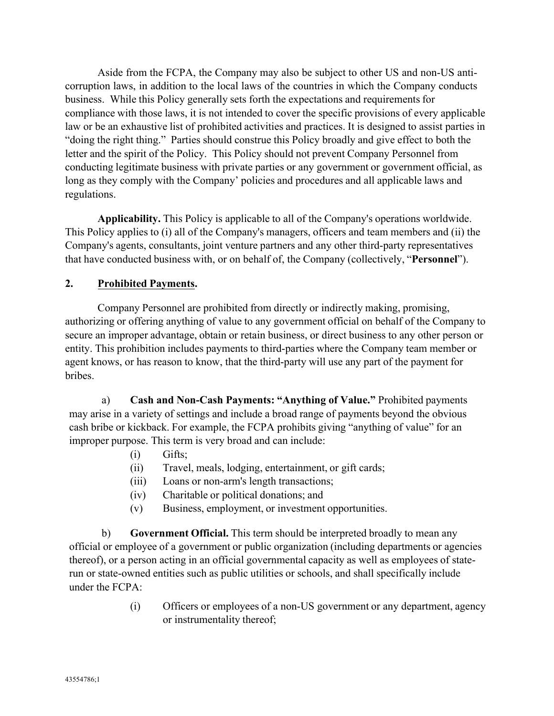Aside from the FCPA, the Company may also be subject to other US and non-US anticorruption laws, in addition to the local laws of the countries in which the Company conducts business. While this Policy generally sets forth the expectations and requirements for compliance with those laws, it is not intended to cover the specific provisions of every applicable law or be an exhaustive list of prohibited activities and practices. It is designed to assist parties in "doing the right thing." Parties should construe this Policy broadly and give effect to both the letter and the spirit of the Policy. This Policy should not prevent Company Personnel from conducting legitimate business with private parties or any government or government official, as long as they comply with the Company' policies and procedures and all applicable laws and regulations.

**Applicability.** This Policy is applicable to all of the Company's operations worldwide. This Policy applies to (i) all of the Company's managers, officers and team members and (ii) the Company's agents, consultants, joint venture partners and any other third-party representatives that have conducted business with, or on behalf of, the Company (collectively, "**Personnel**").

#### **2. Prohibited Payments.**

Company Personnel are prohibited from directly or indirectly making, promising, authorizing or offering anything of value to any government official on behalf of the Company to secure an improper advantage, obtain or retain business, or direct business to any other person or entity. This prohibition includes payments to third-parties where the Company team member or agent knows, or has reason to know, that the third-party will use any part of the payment for bribes.

a) **Cash and Non-Cash Payments: "Anything of Value."** Prohibited payments may arise in a variety of settings and include a broad range of payments beyond the obvious cash bribe or kickback. For example, the FCPA prohibits giving "anything of value" for an improper purpose. This term is very broad and can include:

- (i) Gifts;
- (ii) Travel, meals, lodging, entertainment, or gift cards;
- (iii) Loans or non-arm's length transactions;
- (iv) Charitable or political donations; and
- (v) Business, employment, or investment opportunities.

b) **Government Official.** This term should be interpreted broadly to mean any official or employee of a government or public organization (including departments or agencies thereof), or a person acting in an official governmental capacity as well as employees of staterun or state-owned entities such as public utilities or schools, and shall specifically include under the FCPA:

> (i) Officers or employees of a non-US government or any department, agency or instrumentality thereof;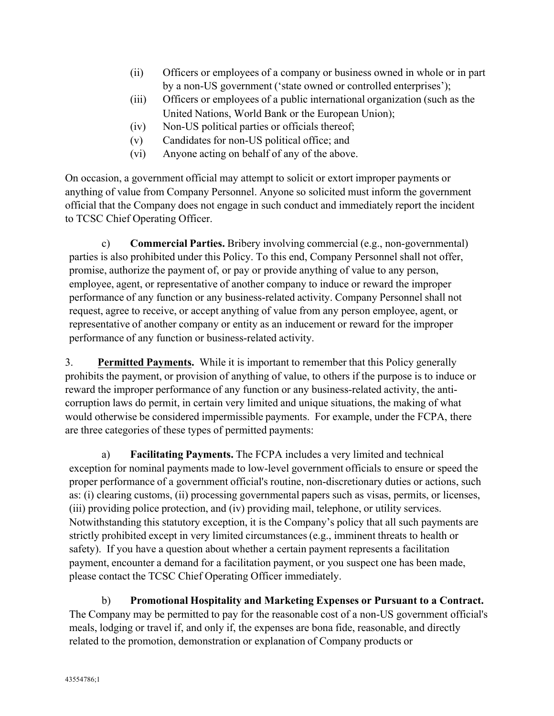- (ii) Officers or employees of a company or business owned in whole or in part by a non-US government ('state owned or controlled enterprises');
- (iii) Officers or employees of a public international organization (such as the United Nations, World Bank or the European Union);
- (iv) Non-US political parties or officials thereof;
- (v) Candidates for non-US political office; and
- (vi) Anyone acting on behalf of any of the above.

On occasion, a government official may attempt to solicit or extort improper payments or anything of value from Company Personnel. Anyone so solicited must inform the government official that the Company does not engage in such conduct and immediately report the incident to TCSC Chief Operating Officer.

c) **Commercial Parties.** Bribery involving commercial (e.g., non-governmental) parties is also prohibited under this Policy. To this end, Company Personnel shall not offer, promise, authorize the payment of, or pay or provide anything of value to any person, employee, agent, or representative of another company to induce or reward the improper performance of any function or any business-related activity. Company Personnel shall not request, agree to receive, or accept anything of value from any person employee, agent, or representative of another company or entity as an inducement or reward for the improper performance of any function or business-related activity.

3. **Permitted Payments.** While it is important to remember that this Policy generally prohibits the payment, or provision of anything of value, to others if the purpose is to induce or reward the improper performance of any function or any business-related activity, the anticorruption laws do permit, in certain very limited and unique situations, the making of what would otherwise be considered impermissible payments. For example, under the FCPA, there are three categories of these types of permitted payments:

a) **Facilitating Payments.** The FCPA includes a very limited and technical exception for nominal payments made to low-level government officials to ensure or speed the proper performance of a government official's routine, non-discretionary duties or actions, such as: (i) clearing customs, (ii) processing governmental papers such as visas, permits, or licenses, (iii) providing police protection, and (iv) providing mail, telephone, or utility services. Notwithstanding this statutory exception, it is the Company's policy that all such payments are strictly prohibited except in very limited circumstances (e.g., imminent threats to health or safety). If you have a question about whether a certain payment represents a facilitation payment, encounter a demand for a facilitation payment, or you suspect one has been made, please contact the TCSC Chief Operating Officer immediately.

b) **Promotional Hospitality and Marketing Expenses or Pursuant to a Contract.**  The Company may be permitted to pay for the reasonable cost of a non-US government official's meals, lodging or travel if, and only if, the expenses are bona fide, reasonable, and directly related to the promotion, demonstration or explanation of Company products or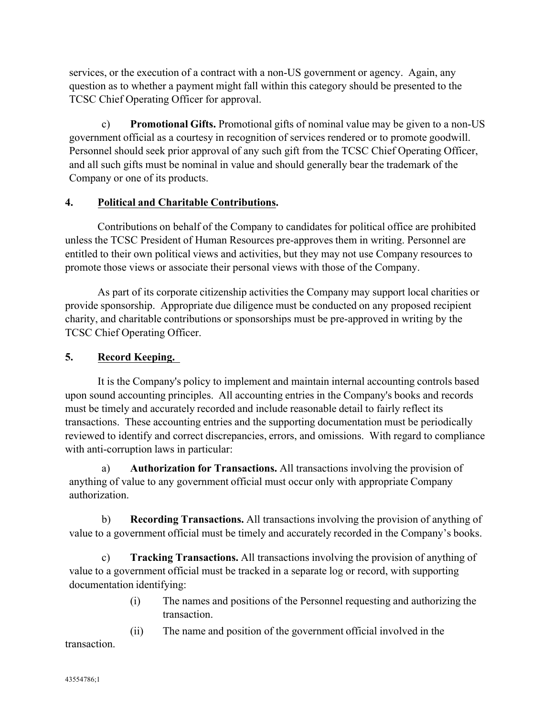services, or the execution of a contract with a non-US government or agency. Again, any question as to whether a payment might fall within this category should be presented to the TCSC Chief Operating Officer for approval.

c) **Promotional Gifts.** Promotional gifts of nominal value may be given to a non-US government official as a courtesy in recognition of services rendered or to promote goodwill. Personnel should seek prior approval of any such gift from the TCSC Chief Operating Officer, and all such gifts must be nominal in value and should generally bear the trademark of the Company or one of its products.

# **4. Political and Charitable Contributions.**

Contributions on behalf of the Company to candidates for political office are prohibited unless the TCSC President of Human Resources pre-approves them in writing. Personnel are entitled to their own political views and activities, but they may not use Company resources to promote those views or associate their personal views with those of the Company.

As part of its corporate citizenship activities the Company may support local charities or provide sponsorship. Appropriate due diligence must be conducted on any proposed recipient charity, and charitable contributions or sponsorships must be pre-approved in writing by the TCSC Chief Operating Officer.

# **5. Record Keeping.**

It is the Company's policy to implement and maintain internal accounting controls based upon sound accounting principles. All accounting entries in the Company's books and records must be timely and accurately recorded and include reasonable detail to fairly reflect its transactions. These accounting entries and the supporting documentation must be periodically reviewed to identify and correct discrepancies, errors, and omissions. With regard to compliance with anti-corruption laws in particular:

a) **Authorization for Transactions.** All transactions involving the provision of anything of value to any government official must occur only with appropriate Company authorization.

b) **Recording Transactions.** All transactions involving the provision of anything of value to a government official must be timely and accurately recorded in the Company's books.

c) **Tracking Transactions.** All transactions involving the provision of anything of value to a government official must be tracked in a separate log or record, with supporting documentation identifying:

> (i) The names and positions of the Personnel requesting and authorizing the transaction.

(ii) The name and position of the government official involved in the transaction.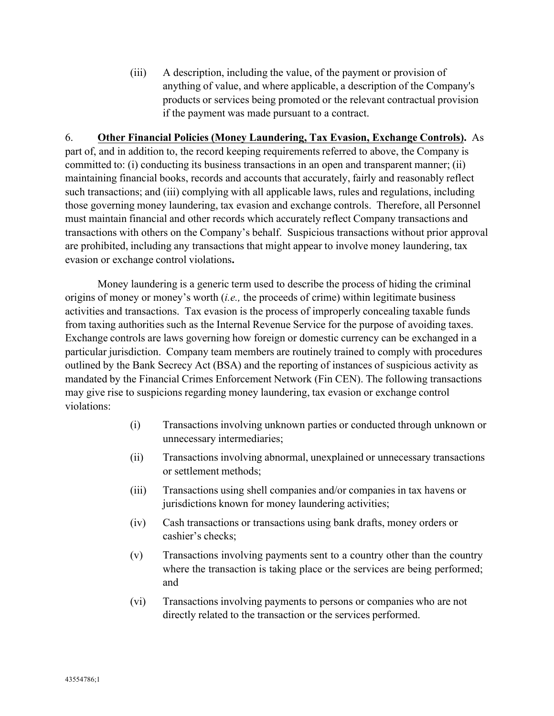(iii) A description, including the value, of the payment or provision of anything of value, and where applicable, a description of the Company's products or services being promoted or the relevant contractual provision if the payment was made pursuant to a contract.

### 6. **Other Financial Policies (Money Laundering, Tax Evasion, Exchange Controls).** As

part of, and in addition to, the record keeping requirements referred to above, the Company is committed to: (i) conducting its business transactions in an open and transparent manner; (ii) maintaining financial books, records and accounts that accurately, fairly and reasonably reflect such transactions; and (iii) complying with all applicable laws, rules and regulations, including those governing money laundering, tax evasion and exchange controls. Therefore, all Personnel must maintain financial and other records which accurately reflect Company transactions and transactions with others on the Company's behalf. Suspicious transactions without prior approval are prohibited, including any transactions that might appear to involve money laundering, tax evasion or exchange control violations**.**

Money laundering is a generic term used to describe the process of hiding the criminal origins of money or money's worth (*i.e.,* the proceeds of crime) within legitimate business activities and transactions. Tax evasion is the process of improperly concealing taxable funds from taxing authorities such as the Internal Revenue Service for the purpose of avoiding taxes. Exchange controls are laws governing how foreign or domestic currency can be exchanged in a particular jurisdiction. Company team members are routinely trained to comply with procedures outlined by the Bank Secrecy Act (BSA) and the reporting of instances of suspicious activity as mandated by the Financial Crimes Enforcement Network (Fin CEN). The following transactions may give rise to suspicions regarding money laundering, tax evasion or exchange control violations:

- (i) Transactions involving unknown parties or conducted through unknown or unnecessary intermediaries;
- (ii) Transactions involving abnormal, unexplained or unnecessary transactions or settlement methods;
- (iii) Transactions using shell companies and/or companies in tax havens or jurisdictions known for money laundering activities;
- (iv) Cash transactions or transactions using bank drafts, money orders or cashier's checks;
- (v) Transactions involving payments sent to a country other than the country where the transaction is taking place or the services are being performed; and
- (vi) Transactions involving payments to persons or companies who are not directly related to the transaction or the services performed.